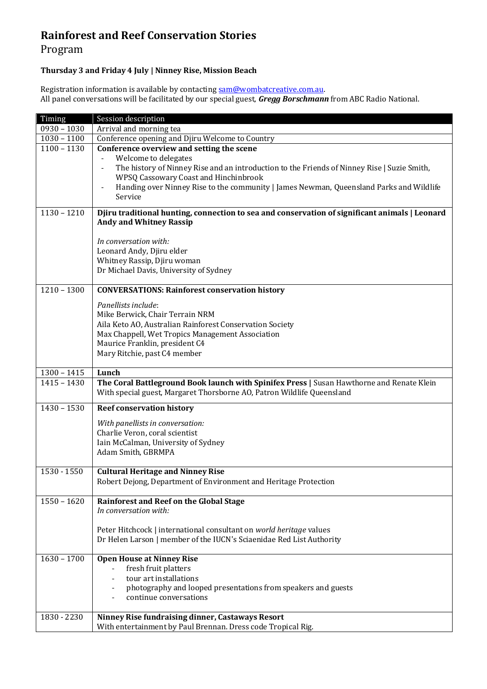## **Rainforest and Reef Conservation Stories**

## Program

## **Thursday 3 and Friday 4 July | Ninney Rise, Mission Beach**

Registration information is available by contactin[g sam@wombatcreative.com.au.](mailto:sam@wombatcreative.com.au) All panel conversations will be facilitated by our special guest, *Gregg Borschmann* from ABC Radio National.

| Timing        | Session description                                                                                                                                                                                                                                                                                                                                       |
|---------------|-----------------------------------------------------------------------------------------------------------------------------------------------------------------------------------------------------------------------------------------------------------------------------------------------------------------------------------------------------------|
| $0930 - 1030$ | Arrival and morning tea                                                                                                                                                                                                                                                                                                                                   |
| $1030 - 1100$ | Conference opening and Djiru Welcome to Country                                                                                                                                                                                                                                                                                                           |
| $1100 - 1130$ | Conference overview and setting the scene<br>Welcome to delegates<br>$\qquad \qquad -$<br>The history of Ninney Rise and an introduction to the Friends of Ninney Rise   Suzie Smith,<br>$\qquad \qquad -$<br>WPSQ Cassowary Coast and Hinchinbrook<br>Handing over Ninney Rise to the community   James Newman, Queensland Parks and Wildlife<br>Service |
| $1130 - 1210$ | Djiru traditional hunting, connection to sea and conservation of significant animals   Leonard<br><b>Andy and Whitney Rassip</b><br>In conversation with:<br>Leonard Andy, Djiru elder                                                                                                                                                                    |
|               | Whitney Rassip, Djiru woman<br>Dr Michael Davis, University of Sydney                                                                                                                                                                                                                                                                                     |
| $1210 - 1300$ | <b>CONVERSATIONS: Rainforest conservation history</b>                                                                                                                                                                                                                                                                                                     |
|               | Panellists include:<br>Mike Berwick, Chair Terrain NRM<br>Aila Keto AO, Australian Rainforest Conservation Society<br>Max Chappell, Wet Tropics Management Association<br>Maurice Franklin, president C4<br>Mary Ritchie, past C4 member                                                                                                                  |
|               |                                                                                                                                                                                                                                                                                                                                                           |
| $1300 - 1415$ | Lunch                                                                                                                                                                                                                                                                                                                                                     |
| $1415 - 1430$ | The Coral Battleground Book launch with Spinifex Press   Susan Hawthorne and Renate Klein<br>With special guest, Margaret Thorsborne AO, Patron Wildlife Queensland                                                                                                                                                                                       |
| $1430 - 1530$ | <b>Reef conservation history</b>                                                                                                                                                                                                                                                                                                                          |
|               | With panellists in conversation:<br>Charlie Veron, coral scientist<br>Iain McCalman, University of Sydney<br>Adam Smith, GBRMPA                                                                                                                                                                                                                           |
| 1530 - 1550   | <b>Cultural Heritage and Ninney Rise</b><br>Robert Dejong, Department of Environment and Heritage Protection                                                                                                                                                                                                                                              |
| $1550 - 1620$ | Rainforest and Reef on the Global Stage<br>In conversation with:                                                                                                                                                                                                                                                                                          |
|               | Peter Hitchcock   international consultant on world heritage values<br>Dr Helen Larson   member of the IUCN's Sciaenidae Red List Authority                                                                                                                                                                                                               |
| $1630 - 1700$ | <b>Open House at Ninney Rise</b><br>fresh fruit platters<br>tour art installations<br>photography and looped presentations from speakers and guests<br>continue conversations                                                                                                                                                                             |
| 1830 - 2230   | Ninney Rise fundraising dinner, Castaways Resort<br>With entertainment by Paul Brennan. Dress code Tropical Rig.                                                                                                                                                                                                                                          |